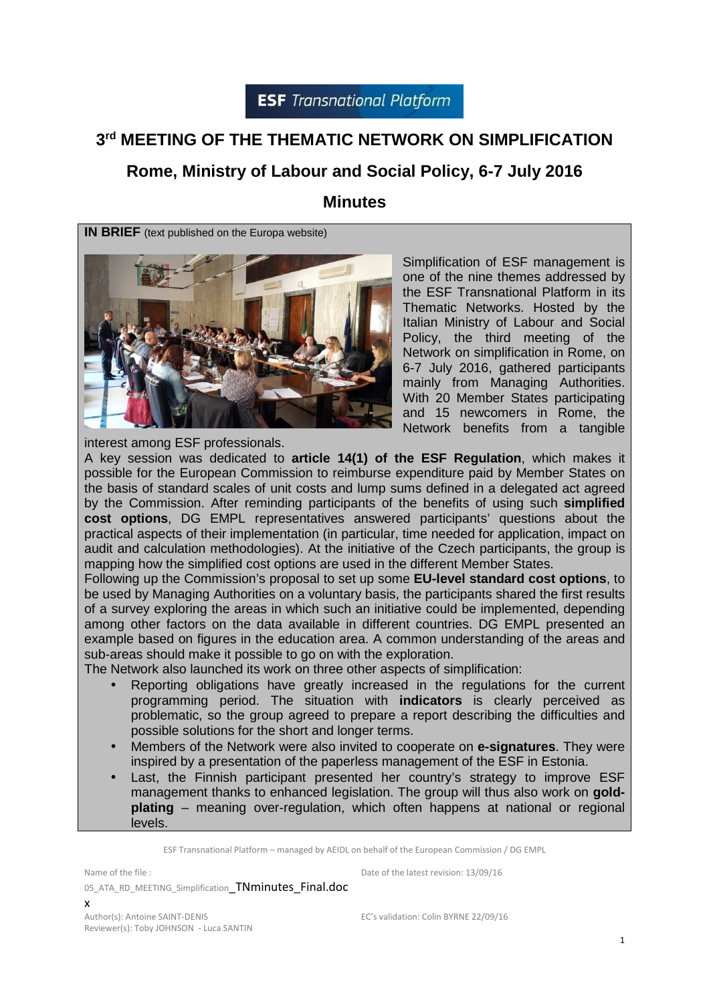## **3 rd MEETING OF THE THEMATIC NETWORK ON SIMPLIFICATION**

## **Rome, Ministry of Labour and Social Policy, 6-7 July 2016**

### **Minutes**

**IN BRIEF** (text published on the Europa website)



Simplification of ESF management is one of the nine themes addressed by the ESF Transnational Platform in its Thematic Networks. Hosted by the Italian Ministry of Labour and Social Policy, the third meeting of the Network on simplification in Rome, on 6-7 July 2016, gathered participants mainly from Managing Authorities. With 20 Member States participating and 15 newcomers in Rome, the Network benefits from a tangible

interest among ESF professionals.

A key session was dedicated to **article 14(1) of the ESF Regulation**, which makes it possible for the European Commission to reimburse expenditure paid by Member States on the basis of standard scales of unit costs and lump sums defined in a delegated act agreed by the Commission. After reminding participants of the benefits of using such **simplified cost options**, DG EMPL representatives answered participants' questions about the practical aspects of their implementation (in particular, time needed for application, impact on audit and calculation methodologies). At the initiative of the Czech participants, the group is mapping how the simplified cost options are used in the different Member States.

Following up the Commission's proposal to set up some **EU-level standard cost options**, to be used by Managing Authorities on a voluntary basis, the participants shared the first results of a survey exploring the areas in which such an initiative could be implemented, depending among other factors on the data available in different countries. DG EMPL presented an example based on figures in the education area. A common understanding of the areas and sub-areas should make it possible to go on with the exploration.

The Network also launched its work on three other aspects of simplification:

- Reporting obligations have greatly increased in the regulations for the current programming period. The situation with **indicators** is clearly perceived as problematic, so the group agreed to prepare a report describing the difficulties and possible solutions for the short and longer terms.
- Members of the Network were also invited to cooperate on **e-signatures**. They were inspired by a presentation of the paperless management of the ESF in Estonia.
- Last, the Finnish participant presented her country's strategy to improve ESF management thanks to enhanced legislation. The group will thus also work on **goldplating** – meaning over-regulation, which often happens at national or regional levels.

ESF Transnational Platform – managed by AEIDL on behalf of the European Commission / DG EMPL

Name of the file : 05 ATA RD MEETING Simplification TNminutes Final.doc x

Date of the latest revision: 13/09/16

Author(s): Antoine SAINT-DENIS Reviewer(s): Toby JOHNSON - Luca SANTIN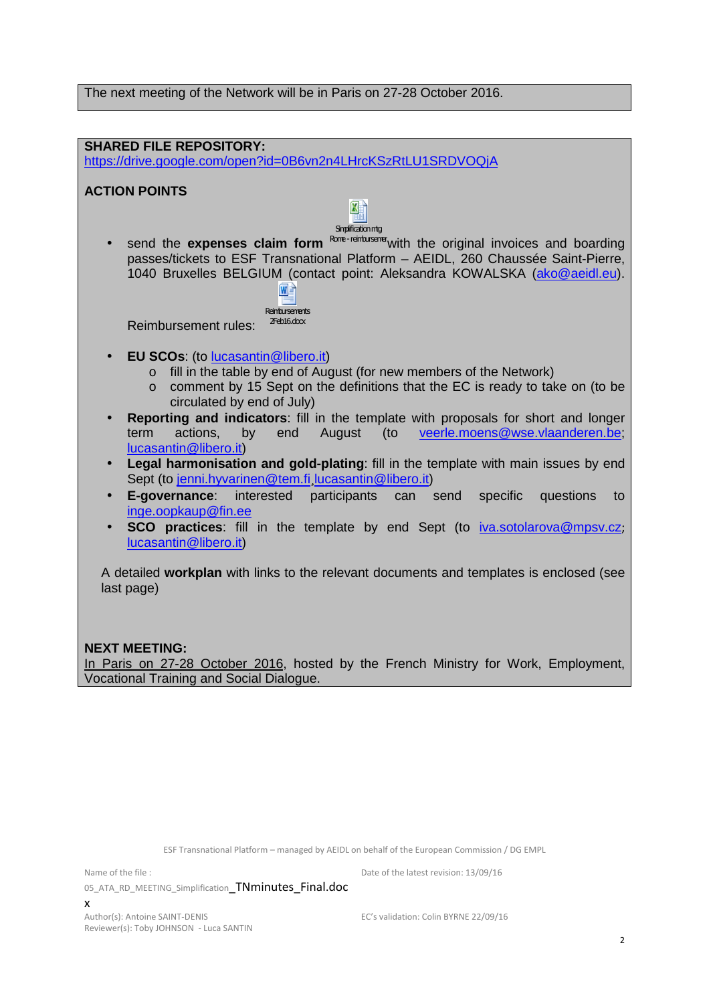The next meeting of the Network will be in Paris on 27-28 October 2016.



In Paris on 27-28 October 2016, hosted by the French Ministry for Work, Employment, Vocational Training and Social Dialogue.

ESF Transnational Platform – managed by AEIDL on behalf of the European Commission / DG EMPL

Name of the file :

05\_ATA\_RD\_MEETING\_Simplification TNminutes\_Final.doc

EC's validation: Colin BYRNE 22/09/16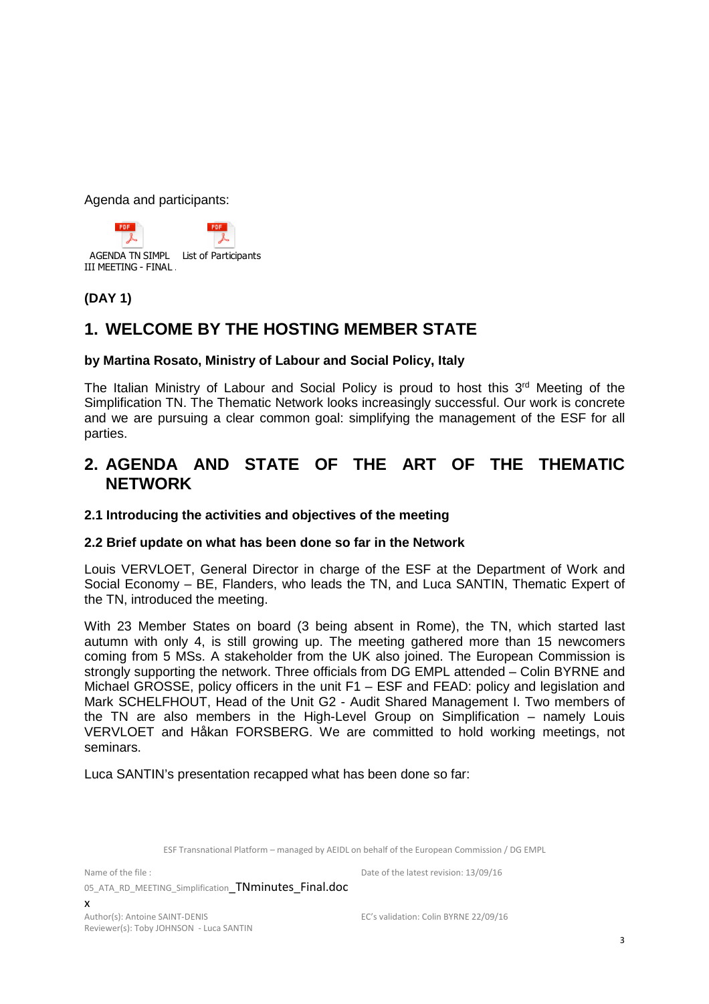Agenda and participants:



#### **(DAY 1)**

## **1. WELCOME BY THE HOSTING MEMBER STATE**

#### **by Martina Rosato, Ministry of Labour and Social Policy, Italy**

The Italian Ministry of Labour and Social Policy is proud to host this 3<sup>rd</sup> Meeting of the Simplification TN. The Thematic Network looks increasingly successful. Our work is concrete and we are pursuing a clear common goal: simplifying the management of the ESF for all parties.

## **2. AGENDA AND STATE OF THE ART OF THE THEMATIC NETWORK**

#### **2.1 Introducing the activities and objectives of the meeting**

#### **2.2 Brief update on what has been done so far in the Network**

Louis VERVLOET, General Director in charge of the ESF at the Department of Work and Social Economy – BE, Flanders, who leads the TN, and Luca SANTIN, Thematic Expert of the TN, introduced the meeting.

With 23 Member States on board (3 being absent in Rome), the TN, which started last autumn with only 4, is still growing up. The meeting gathered more than 15 newcomers coming from 5 MSs. A stakeholder from the UK also joined. The European Commission is strongly supporting the network. Three officials from DG EMPL attended – Colin BYRNE and Michael GROSSE, policy officers in the unit F1 – ESF and FEAD: policy and legislation and Mark SCHELFHOUT, Head of the Unit G2 - Audit Shared Management I. Two members of the TN are also members in the High-Level Group on Simplification – namely Louis VERVLOET and Håkan FORSBERG. We are committed to hold working meetings, not seminars.

Luca SANTIN's presentation recapped what has been done so far:

ESF Transnational Platform – managed by AEIDL on behalf of the European Commission / DG EMPL

Name of the file :

05 ATA RD MEETING\_Simplification TNminutes Final.doc x

Author(s): Antoine SAINT-DENIS Reviewer(s): Toby JOHNSON - Luca SANTIN

EC's validation: Colin BYRNE 22/09/16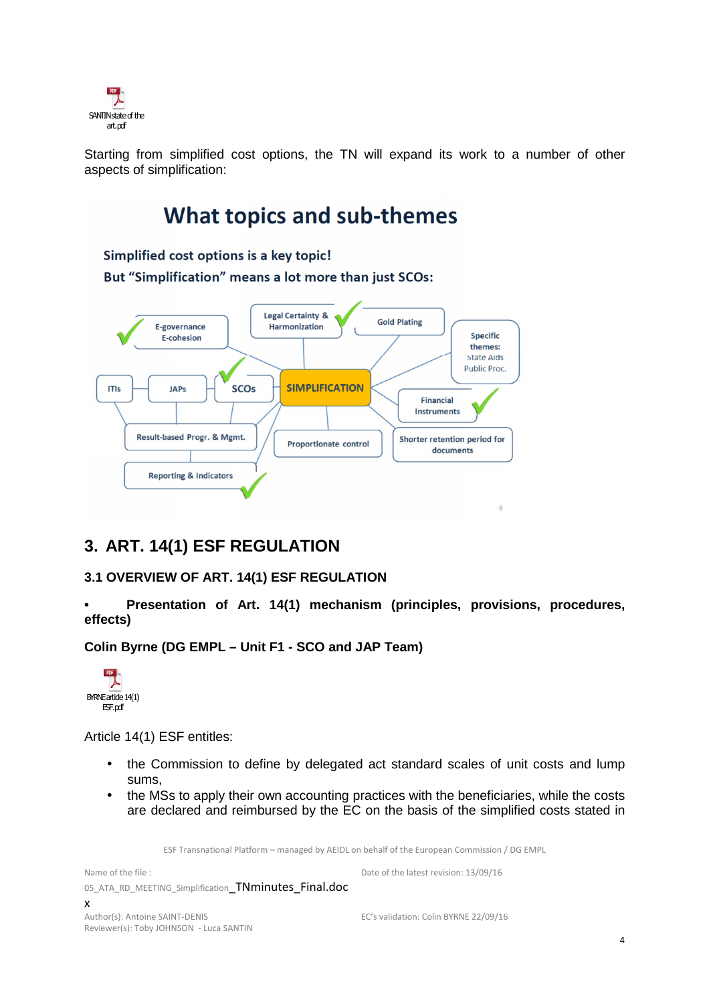

Starting from simplified cost options, the TN will expand its work to a number of other aspects of simplification:

# **What topics and sub-themes**

Simplified cost options is a key topic! But "Simplification" means a lot more than just SCOs:



## **3. ART. 14(1) ESF REGULATION**

#### **3.1 OVERVIEW OF ART. 14(1) ESF REGULATION**

**• Presentation of Art. 14(1) mechanism (principles, provisions, procedures, effects)** 

**Colin Byrne (DG EMPL – Unit F1 - SCO and JAP Team)** 



Article 14(1) ESF entitles:

- the Commission to define by delegated act standard scales of unit costs and lump sums,
- the MSs to apply their own accounting practices with the beneficiaries, while the costs are declared and reimbursed by the EC on the basis of the simplified costs stated in

ESF Transnational Platform – managed by AEIDL on behalf of the European Commission / DG EMPL

Name of the file : 05\_ATA\_RD\_MEETING\_Simplification TNminutes\_Final.doc x Date of the latest revision: 13/09/16 Author(s): Antoine SAINT-DENIS Reviewer(s): Toby JOHNSON - Luca SANTIN EC's validation: Colin BYRNE 22/09/16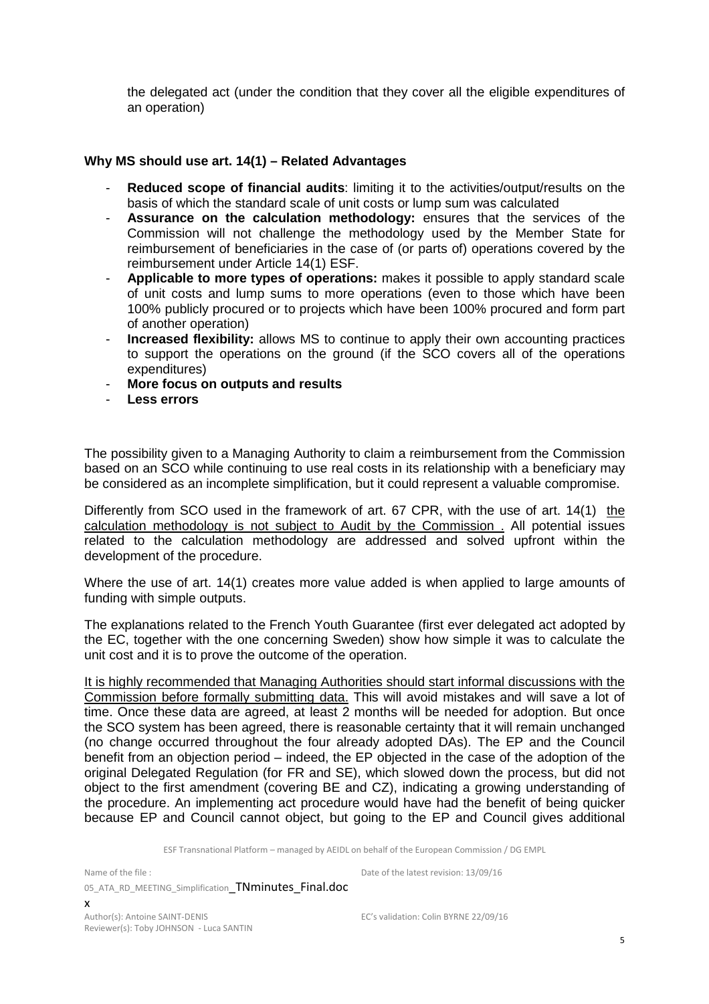the delegated act (under the condition that they cover all the eligible expenditures of an operation)

#### **Why MS should use art. 14(1) – Related Advantages**

- **Reduced scope of financial audits:** limiting it to the activities/output/results on the basis of which the standard scale of unit costs or lump sum was calculated
- **Assurance on the calculation methodology:** ensures that the services of the Commission will not challenge the methodology used by the Member State for reimbursement of beneficiaries in the case of (or parts of) operations covered by the reimbursement under Article 14(1) ESF.
- **Applicable to more types of operations:** makes it possible to apply standard scale of unit costs and lump sums to more operations (even to those which have been 100% publicly procured or to projects which have been 100% procured and form part of another operation)
- **Increased flexibility:** allows MS to continue to apply their own accounting practices to support the operations on the ground (if the SCO covers all of the operations expenditures)
- **More focus on outputs and results**
- **Less errors**

The possibility given to a Managing Authority to claim a reimbursement from the Commission based on an SCO while continuing to use real costs in its relationship with a beneficiary may be considered as an incomplete simplification, but it could represent a valuable compromise.

Differently from SCO used in the framework of art. 67 CPR, with the use of art. 14(1) the calculation methodology is not subject to Audit by the Commission . All potential issues related to the calculation methodology are addressed and solved upfront within the development of the procedure.

Where the use of art. 14(1) creates more value added is when applied to large amounts of funding with simple outputs.

The explanations related to the French Youth Guarantee (first ever delegated act adopted by the EC, together with the one concerning Sweden) show how simple it was to calculate the unit cost and it is to prove the outcome of the operation.

It is highly recommended that Managing Authorities should start informal discussions with the Commission before formally submitting data. This will avoid mistakes and will save a lot of time. Once these data are agreed, at least 2 months will be needed for adoption. But once the SCO system has been agreed, there is reasonable certainty that it will remain unchanged (no change occurred throughout the four already adopted DAs). The EP and the Council benefit from an objection period – indeed, the EP objected in the case of the adoption of the original Delegated Regulation (for FR and SE), which slowed down the process, but did not object to the first amendment (covering BE and CZ), indicating a growing understanding of the procedure. An implementing act procedure would have had the benefit of being quicker because EP and Council cannot object, but going to the EP and Council gives additional

ESF Transnational Platform – managed by AEIDL on behalf of the European Commission / DG EMPL

Name of the file :

Date of the latest revision: 13/09/16

05 ATA RD MEETING Simplification TNminutes Final.doc x Author(s): Antoine SAINT-DENIS

Reviewer(s): Toby JOHNSON - Luca SANTIN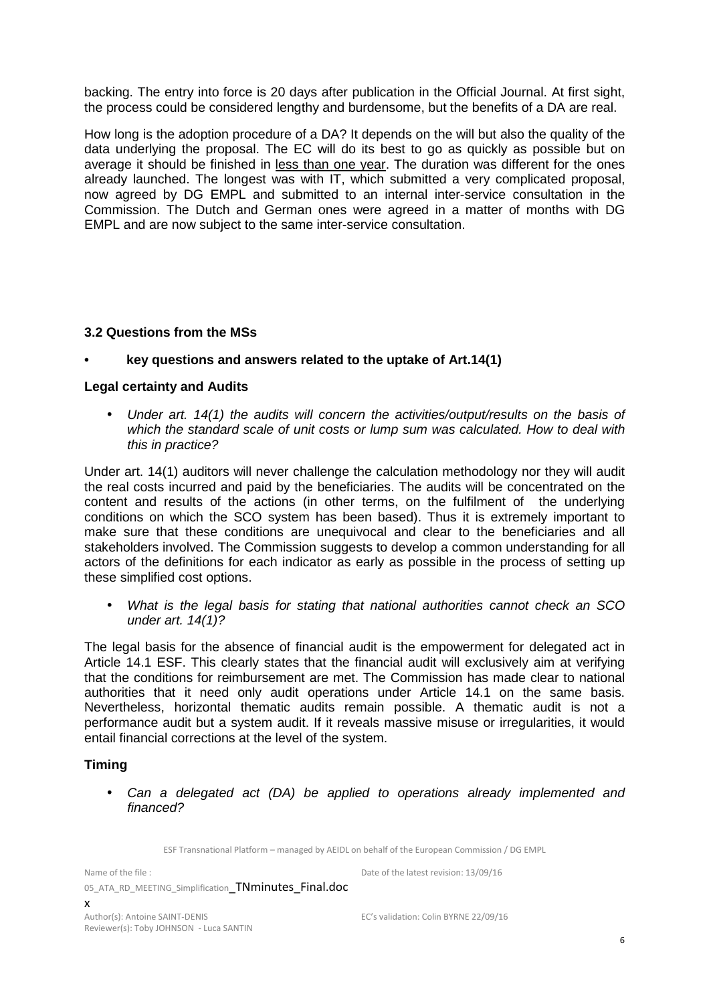backing. The entry into force is 20 days after publication in the Official Journal. At first sight, the process could be considered lengthy and burdensome, but the benefits of a DA are real.

How long is the adoption procedure of a DA? It depends on the will but also the quality of the data underlying the proposal. The EC will do its best to go as quickly as possible but on average it should be finished in less than one year. The duration was different for the ones already launched. The longest was with IT, which submitted a very complicated proposal, now agreed by DG EMPL and submitted to an internal inter-service consultation in the Commission. The Dutch and German ones were agreed in a matter of months with DG EMPL and are now subject to the same inter-service consultation.

#### **3.2 Questions from the MSs**

#### **• key questions and answers related to the uptake of Art.14(1)**

#### **Legal certainty and Audits**

• Under art. 14(1) the audits will concern the activities/output/results on the basis of which the standard scale of unit costs or lump sum was calculated. How to deal with this in practice?

Under art. 14(1) auditors will never challenge the calculation methodology nor they will audit the real costs incurred and paid by the beneficiaries. The audits will be concentrated on the content and results of the actions (in other terms, on the fulfilment of the underlying conditions on which the SCO system has been based). Thus it is extremely important to make sure that these conditions are unequivocal and clear to the beneficiaries and all stakeholders involved. The Commission suggests to develop a common understanding for all actors of the definitions for each indicator as early as possible in the process of setting up these simplified cost options.

• What is the legal basis for stating that national authorities cannot check an SCO under art. 14(1)?

The legal basis for the absence of financial audit is the empowerment for delegated act in Article 14.1 ESF. This clearly states that the financial audit will exclusively aim at verifying that the conditions for reimbursement are met. The Commission has made clear to national authorities that it need only audit operations under Article 14.1 on the same basis. Nevertheless, horizontal thematic audits remain possible. A thematic audit is not a performance audit but a system audit. If it reveals massive misuse or irregularities, it would entail financial corrections at the level of the system.

#### **Timing**

• Can a delegated act (DA) be applied to operations already implemented and financed?

ESF Transnational Platform – managed by AEIDL on behalf of the European Commission / DG EMPL

Name of the file :

Date of the latest revision: 13/09/16

05 ATA RD MEETING Simplification TNminutes Final.doc x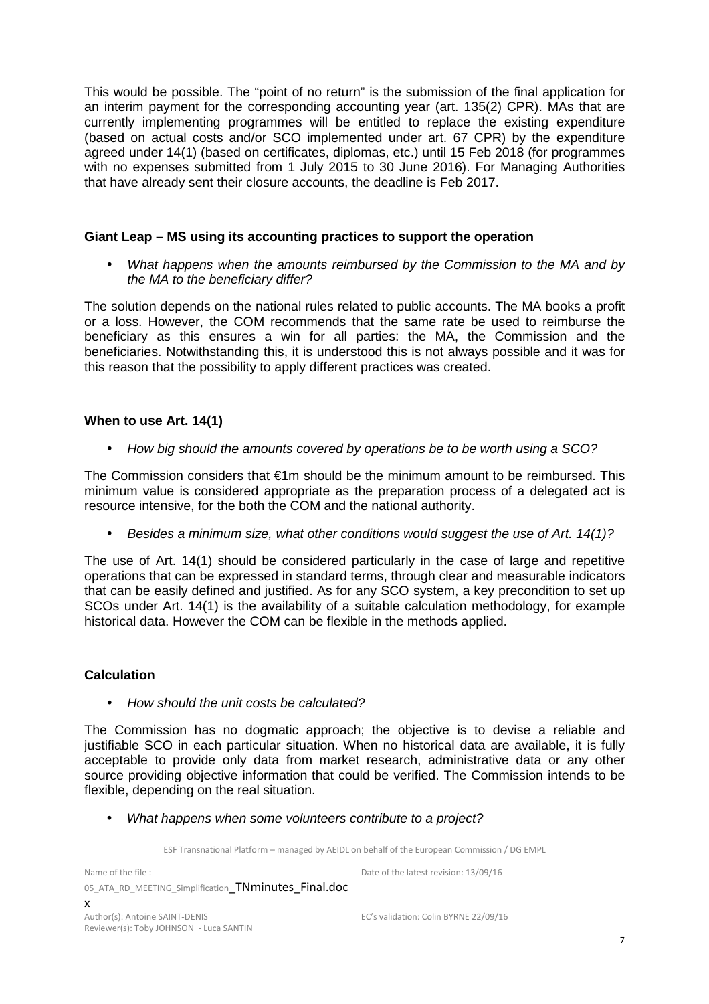This would be possible. The "point of no return" is the submission of the final application for an interim payment for the corresponding accounting year (art. 135(2) CPR). MAs that are currently implementing programmes will be entitled to replace the existing expenditure (based on actual costs and/or SCO implemented under art. 67 CPR) by the expenditure agreed under 14(1) (based on certificates, diplomas, etc.) until 15 Feb 2018 (for programmes with no expenses submitted from 1 July 2015 to 30 June 2016). For Managing Authorities that have already sent their closure accounts, the deadline is Feb 2017.

#### **Giant Leap – MS using its accounting practices to support the operation**

• What happens when the amounts reimbursed by the Commission to the MA and by the MA to the beneficiary differ?

The solution depends on the national rules related to public accounts. The MA books a profit or a loss. However, the COM recommends that the same rate be used to reimburse the beneficiary as this ensures a win for all parties: the MA, the Commission and the beneficiaries. Notwithstanding this, it is understood this is not always possible and it was for this reason that the possibility to apply different practices was created.

#### **When to use Art. 14(1)**

• How big should the amounts covered by operations be to be worth using a SCO?

The Commission considers that  $\epsilon$ 1m should be the minimum amount to be reimbursed. This minimum value is considered appropriate as the preparation process of a delegated act is resource intensive, for the both the COM and the national authority.

• Besides a minimum size, what other conditions would suggest the use of Art. 14(1)?

The use of Art. 14(1) should be considered particularly in the case of large and repetitive operations that can be expressed in standard terms, through clear and measurable indicators that can be easily defined and justified. As for any SCO system, a key precondition to set up SCOs under Art. 14(1) is the availability of a suitable calculation methodology, for example historical data. However the COM can be flexible in the methods applied.

#### **Calculation**

• How should the unit costs be calculated?

The Commission has no dogmatic approach; the objective is to devise a reliable and justifiable SCO in each particular situation. When no historical data are available, it is fully acceptable to provide only data from market research, administrative data or any other source providing objective information that could be verified. The Commission intends to be flexible, depending on the real situation.

• What happens when some volunteers contribute to a project?

ESF Transnational Platform – managed by AEIDL on behalf of the European Commission / DG EMPL

Name of the file : 05 ATA RD MEETING Simplification TNminutes Final.doc x Date of the latest revision: 13/09/16 Author(s): Antoine SAINT-DENIS

Reviewer(s): Toby JOHNSON - Luca SANTIN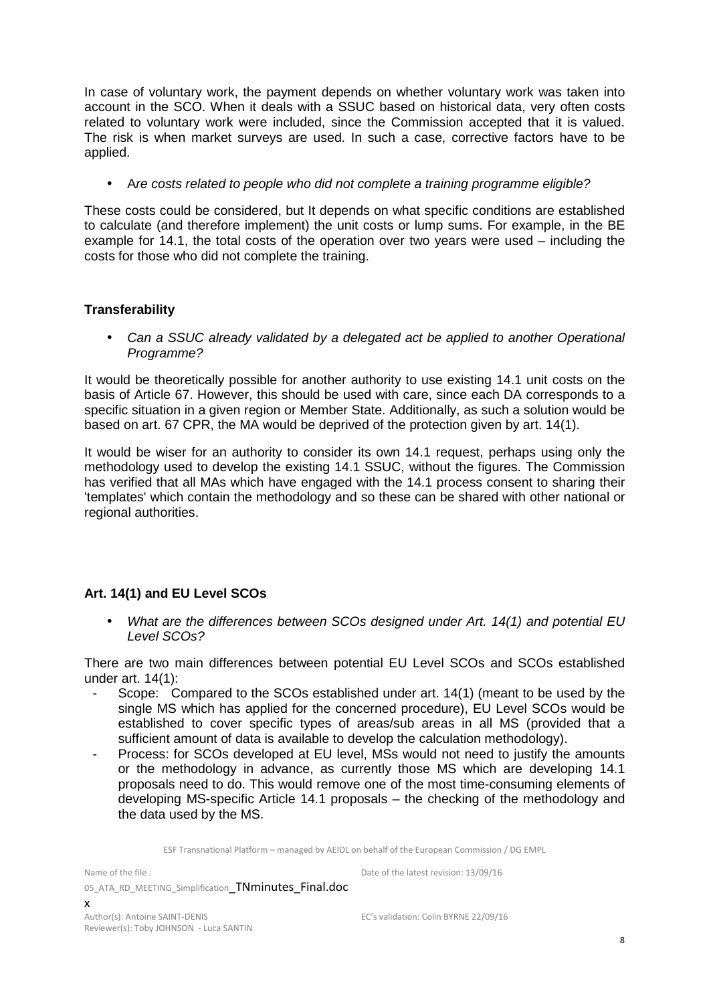In case of voluntary work, the payment depends on whether voluntary work was taken into account in the SCO. When it deals with a SSUC based on historical data, very often costs related to voluntary work were included, since the Commission accepted that it is valued. The risk is when market surveys are used. In such a case, corrective factors have to be applied.

• Are costs related to people who did not complete a training programme eligible?

These costs could be considered, but It depends on what specific conditions are established to calculate (and therefore implement) the unit costs or lump sums. For example, in the BE example for 14.1, the total costs of the operation over two years were used – including the costs for those who did not complete the training.

#### **Transferability**

• Can a SSUC already validated by a delegated act be applied to another Operational Programme?

It would be theoretically possible for another authority to use existing 14.1 unit costs on the basis of Article 67. However, this should be used with care, since each DA corresponds to a specific situation in a given region or Member State. Additionally, as such a solution would be based on art. 67 CPR, the MA would be deprived of the protection given by art. 14(1).

It would be wiser for an authority to consider its own 14.1 request, perhaps using only the methodology used to develop the existing 14.1 SSUC, without the figures. The Commission has verified that all MAs which have engaged with the 14.1 process consent to sharing their 'templates' which contain the methodology and so these can be shared with other national or regional authorities.

#### **Art. 14(1) and EU Level SCOs**

• What are the differences between SCOs designed under Art. 14(1) and potential EU Level SCOs?

There are two main differences between potential EU Level SCOs and SCOs established under art. 14(1):

- Scope: Compared to the SCOs established under art. 14(1) (meant to be used by the single MS which has applied for the concerned procedure), EU Level SCOs would be established to cover specific types of areas/sub areas in all MS (provided that a sufficient amount of data is available to develop the calculation methodology).
- Process: for SCOs developed at EU level. MSs would not need to justify the amounts or the methodology in advance, as currently those MS which are developing 14.1 proposals need to do. This would remove one of the most time-consuming elements of developing MS-specific Article 14.1 proposals – the checking of the methodology and the data used by the MS.

ESF Transnational Platform – managed by AEIDL on behalf of the European Commission / DG EMPL

Name of the file :

Date of the latest revision: 13/09/16

05 ATA RD MEETING Simplification TNminutes Final.doc x

Author(s): Antoine SAINT-DENIS Reviewer(s): Toby JOHNSON - Luca SANTIN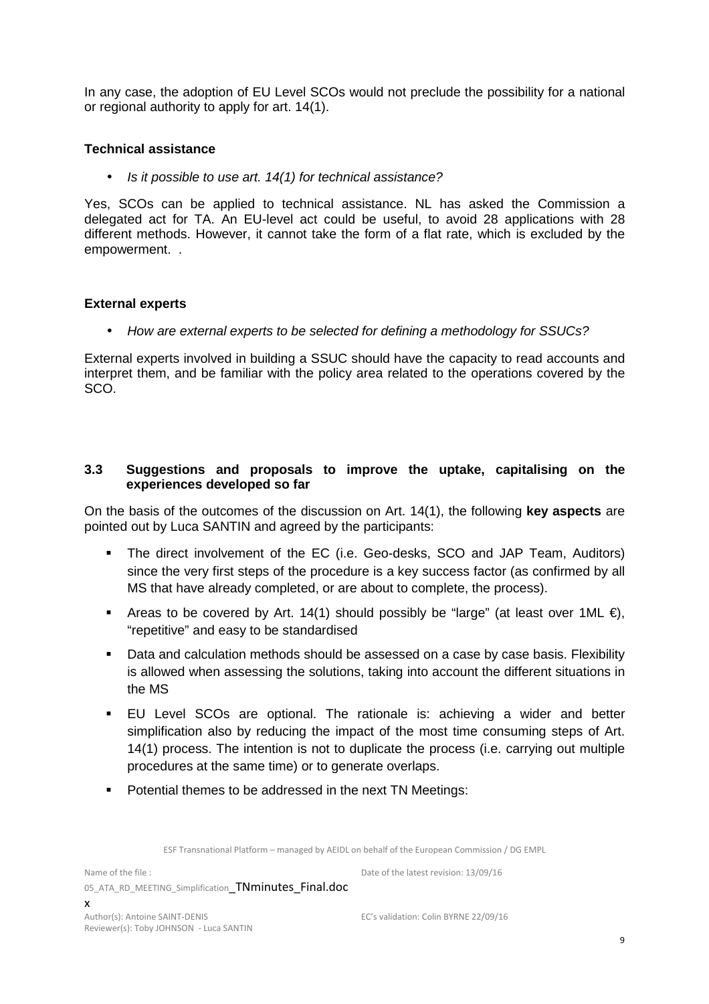In any case, the adoption of EU Level SCOs would not preclude the possibility for a national or regional authority to apply for art. 14(1).

#### **Technical assistance**

• Is it possible to use art. 14(1) for technical assistance?

Yes, SCOs can be applied to technical assistance. NL has asked the Commission a delegated act for TA. An EU-level act could be useful, to avoid 28 applications with 28 different methods. However, it cannot take the form of a flat rate, which is excluded by the empowerment. .

#### **External experts**

• How are external experts to be selected for defining a methodology for SSUCs?

External experts involved in building a SSUC should have the capacity to read accounts and interpret them, and be familiar with the policy area related to the operations covered by the SCO.

#### **3.3 Suggestions and proposals to improve the uptake, capitalising on the experiences developed so far**

On the basis of the outcomes of the discussion on Art. 14(1), the following **key aspects** are pointed out by Luca SANTIN and agreed by the participants:

- The direct involvement of the EC (i.e. Geo-desks, SCO and JAP Team, Auditors) since the very first steps of the procedure is a key success factor (as confirmed by all MS that have already completed, or are about to complete, the process).
- Areas to be covered by Art. 14(1) should possibly be "large" (at least over 1ML  $\epsilon$ ), "repetitive" and easy to be standardised
- Data and calculation methods should be assessed on a case by case basis. Flexibility is allowed when assessing the solutions, taking into account the different situations in the MS
- EU Level SCOs are optional. The rationale is: achieving a wider and better simplification also by reducing the impact of the most time consuming steps of Art. 14(1) process. The intention is not to duplicate the process (i.e. carrying out multiple procedures at the same time) or to generate overlaps.
- **Potential themes to be addressed in the next TN Meetings:**

ESF Transnational Platform – managed by AEIDL on behalf of the European Commission / DG EMPL

Name of the file : 05 ATA RD MEETING Simplification TNminutes Final.doc x Author(s): Antoine SAINT-DENIS Reviewer(s): Toby JOHNSON - Luca SANTIN

EC's validation: Colin BYRNE 22/09/16

Date of the latest revision: 13/09/16

9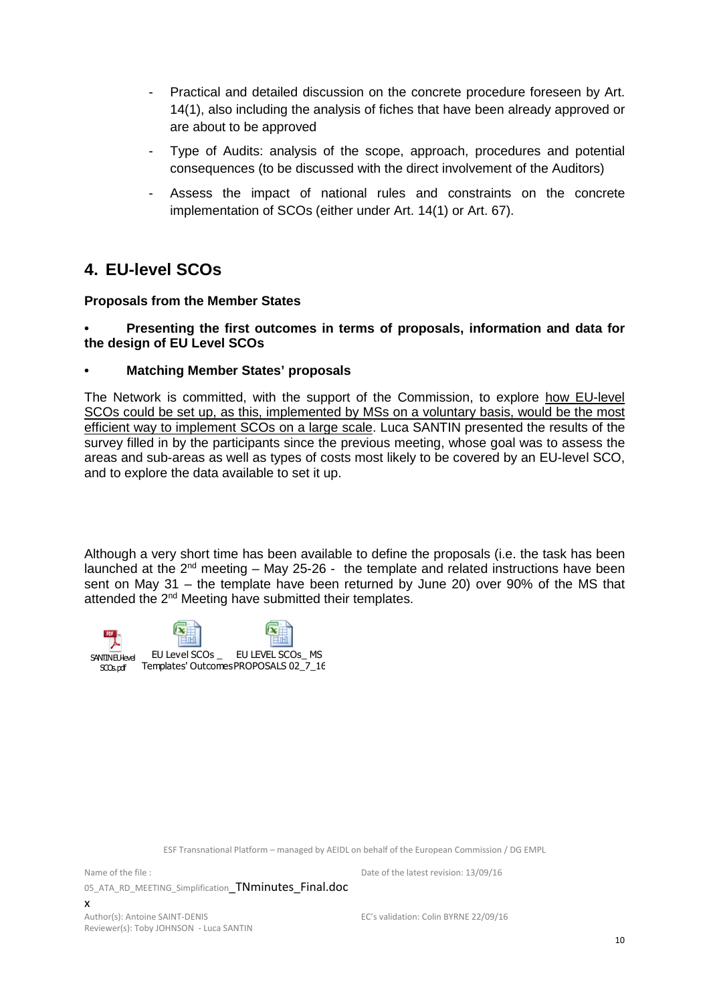- Practical and detailed discussion on the concrete procedure foreseen by Art. 14(1), also including the analysis of fiches that have been already approved or are about to be approved
- Type of Audits: analysis of the scope, approach, procedures and potential consequences (to be discussed with the direct involvement of the Auditors)
- Assess the impact of national rules and constraints on the concrete implementation of SCOs (either under Art. 14(1) or Art. 67).

## **4. EU-level SCOs**

#### **Proposals from the Member States**

**• Presenting the first outcomes in terms of proposals, information and data for the design of EU Level SCOs** 

#### **• Matching Member States' proposals**

The Network is committed, with the support of the Commission, to explore how EU-level SCOs could be set up, as this, implemented by MSs on a voluntary basis, would be the most efficient way to implement SCOs on a large scale. Luca SANTIN presented the results of the survey filled in by the participants since the previous meeting, whose goal was to assess the areas and sub-areas as well as types of costs most likely to be covered by an EU-level SCO, and to explore the data available to set it up.

Although a very short time has been available to define the proposals (i.e. the task has been launched at the  $2^{nd}$  meeting – May 25-26 - the template and related instructions have been sent on May 31 – the template have been returned by June 20) over 90% of the MS that attended the 2<sup>nd</sup> Meeting have submitted their templates.



ESF Transnational Platform – managed by AEIDL on behalf of the European Commission / DG EMPL

Name of the file : 05\_ATA\_RD\_MEETING\_Simplification TNminutes\_Final.doc

x Author(s): Antoine SAINT-DENIS Reviewer(s): Toby JOHNSON - Luca SANTIN

Date of the latest revision: 13/09/16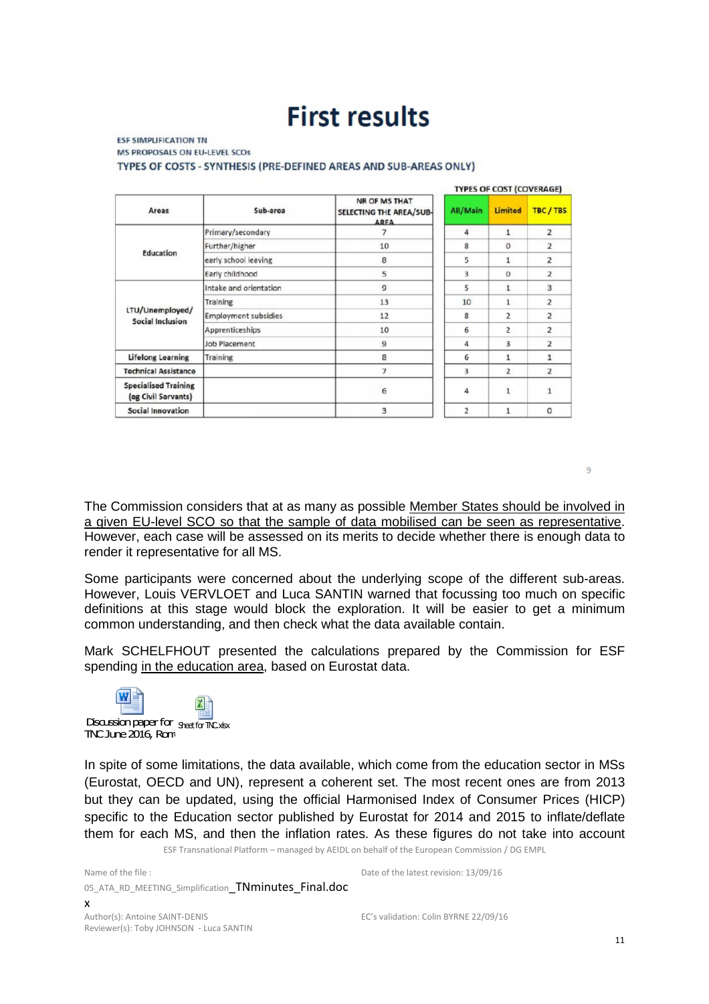# **First results**

#### **ESF SIMPLIFICATION TN** MS PROPOSALS ON EU-LEVEL SCOS TYPES OF COSTS - SYNTHESIS (PRE-DEFINED AREAS AND SUB-AREAS ONLY)

|                                                    |                                                                     |                | <b>TYPES OF COST (COVERAGE)</b> |                |                |  |
|----------------------------------------------------|---------------------------------------------------------------------|----------------|---------------------------------|----------------|----------------|--|
| Areas                                              | NR OF MS THAT<br>Sub-area<br>SELECTING THE AREA/SUB-<br><b>ARFA</b> |                | All/Main                        | Limited        | TBC/TBS        |  |
|                                                    | Primary/secondary                                                   |                | $\overline{4}$                  | $\mathbf{1}$   | $\overline{2}$ |  |
| Education                                          | Further/higher                                                      | 10             | 8                               | $\Omega$       | $\overline{2}$ |  |
|                                                    | early school leaving                                                | 8              | 5                               | 1              | $\overline{2}$ |  |
|                                                    | Early childhood                                                     | 5              | 3                               | $\Omega$       | $\overline{2}$ |  |
| LTU/Unemployed/<br>Social Inclusion                | Intake and orientation                                              | $\overline{9}$ | 5                               | $\mathbf{1}$   | $\overline{3}$ |  |
|                                                    | Training                                                            | 13             | 10                              |                | $\overline{z}$ |  |
|                                                    | <b>Employment subsidies</b>                                         | 12             | 8                               | 2              | $\overline{a}$ |  |
|                                                    | Apprenticeships                                                     | 10             | 6                               | $\overline{2}$ | $\overline{2}$ |  |
|                                                    | Job Placement                                                       | 9              | 4                               | 3              | $\overline{2}$ |  |
| Lifelong Learning                                  | Training                                                            | 8              | 6                               |                | $\mathbf{1}$   |  |
| <b>Technical Assistance</b>                        |                                                                     | $\overline{1}$ | 3                               | $\overline{2}$ | $\overline{z}$ |  |
| <b>Specialised Training</b><br>(eg Civil Servants) |                                                                     | 6              | 4                               | $\mathbf{1}$   | 1              |  |
| Social Innovation                                  |                                                                     | 3              | $\overline{2}$                  | 1              | 0              |  |

 $\overline{q}$ 

The Commission considers that at as many as possible Member States should be involved in a given EU-level SCO so that the sample of data mobilised can be seen as representative. However, each case will be assessed on its merits to decide whether there is enough data to render it representative for all MS.

Some participants were concerned about the underlying scope of the different sub-areas. However, Louis VERVLOET and Luca SANTIN warned that focussing too much on specific definitions at this stage would block the exploration. It will be easier to get a minimum common understanding, and then check what the data available contain.

Mark SCHELFHOUT presented the calculations prepared by the Commission for ESF spending in the education area, based on Eurostat data.



Reviewer(s): Toby JOHNSON - Luca SANTIN

ESF Transnational Platform – managed by AEIDL on behalf of the European Commission / DG EMPL In spite of some limitations, the data available, which come from the education sector in MSs (Eurostat, OECD and UN), represent a coherent set. The most recent ones are from 2013 but they can be updated, using the official Harmonised Index of Consumer Prices (HICP) specific to the Education sector published by Eurostat for 2014 and 2015 to inflate/deflate them for each MS, and then the inflation rates. As these figures do not take into account

Date of the latest revision: 13/09/16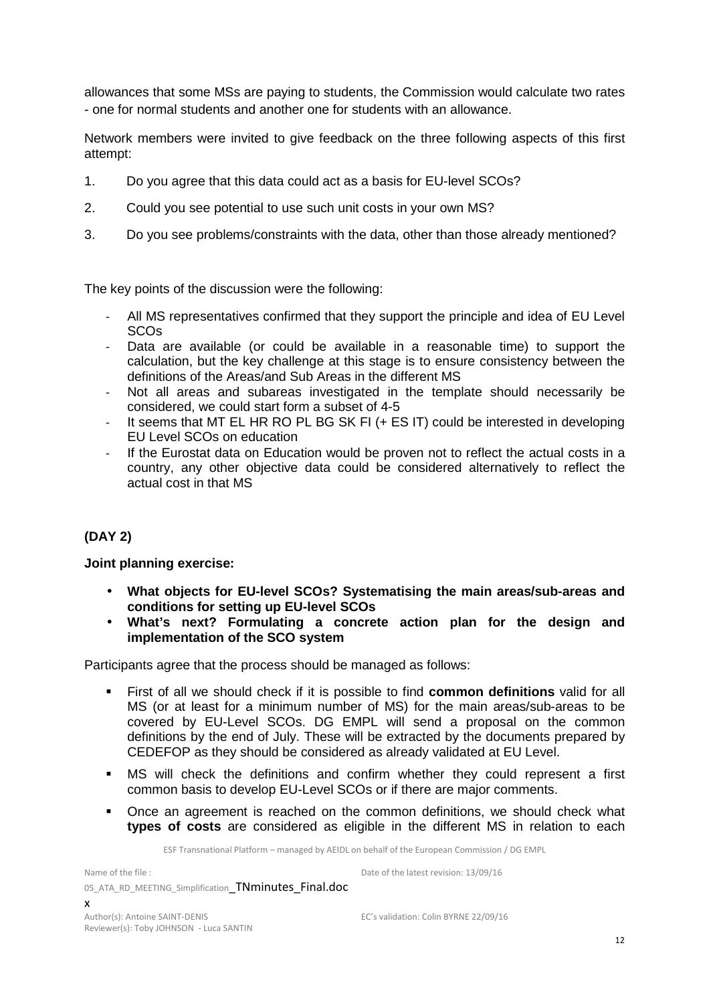allowances that some MSs are paying to students, the Commission would calculate two rates - one for normal students and another one for students with an allowance.

Network members were invited to give feedback on the three following aspects of this first attempt:

- 1. Do you agree that this data could act as a basis for EU-level SCOs?
- 2. Could you see potential to use such unit costs in your own MS?
- 3. Do you see problems/constraints with the data, other than those already mentioned?

The key points of the discussion were the following:

- All MS representatives confirmed that they support the principle and idea of EU Level SCOs
- Data are available (or could be available in a reasonable time) to support the calculation, but the key challenge at this stage is to ensure consistency between the definitions of the Areas/and Sub Areas in the different MS
- Not all areas and subareas investigated in the template should necessarily be considered, we could start form a subset of 4-5
- It seems that MT EL HR RO PL BG SK FI (+ ES IT) could be interested in developing EU Level SCOs on education
- If the Eurostat data on Education would be proven not to reflect the actual costs in a country, any other objective data could be considered alternatively to reflect the actual cost in that MS

#### **(DAY 2)**

#### **Joint planning exercise:**

- **What objects for EU-level SCOs? Systematising the main areas/sub-areas and conditions for setting up EU-level SCOs**
- **What's next? Formulating a concrete action plan for the design and implementation of the SCO system**

Participants agree that the process should be managed as follows:

- First of all we should check if it is possible to find **common definitions** valid for all MS (or at least for a minimum number of MS) for the main areas/sub-areas to be covered by EU-Level SCOs. DG EMPL will send a proposal on the common definitions by the end of July. These will be extracted by the documents prepared by CEDEFOP as they should be considered as already validated at EU Level.
- MS will check the definitions and confirm whether they could represent a first common basis to develop EU-Level SCOs or if there are major comments.
- Once an agreement is reached on the common definitions, we should check what **types of costs** are considered as eligible in the different MS in relation to each

ESF Transnational Platform – managed by AEIDL on behalf of the European Commission / DG EMPL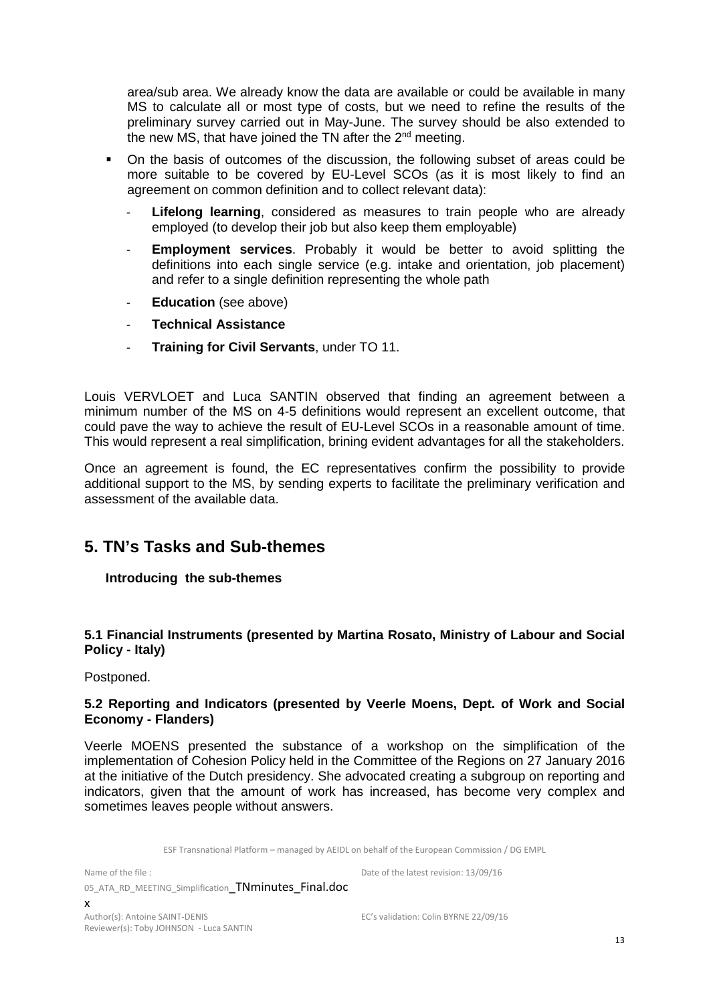area/sub area. We already know the data are available or could be available in many MS to calculate all or most type of costs, but we need to refine the results of the preliminary survey carried out in May-June. The survey should be also extended to the new MS, that have joined the TN after the  $2<sup>nd</sup>$  meeting.

- On the basis of outcomes of the discussion, the following subset of areas could be more suitable to be covered by EU-Level SCOs (as it is most likely to find an agreement on common definition and to collect relevant data):
	- Lifelong learning, considered as measures to train people who are already employed (to develop their job but also keep them employable)
	- **Employment services**. Probably it would be better to avoid splitting the definitions into each single service (e.g. intake and orientation, job placement) and refer to a single definition representing the whole path
	- **Education** (see above)
	- **Technical Assistance**
	- **Training for Civil Servants**, under TO 11.

Louis VERVLOET and Luca SANTIN observed that finding an agreement between a minimum number of the MS on 4-5 definitions would represent an excellent outcome, that could pave the way to achieve the result of EU-Level SCOs in a reasonable amount of time. This would represent a real simplification, brining evident advantages for all the stakeholders.

Once an agreement is found, the EC representatives confirm the possibility to provide additional support to the MS, by sending experts to facilitate the preliminary verification and assessment of the available data.

## **5. TN's Tasks and Sub-themes**

#### **Introducing the sub-themes**

#### **5.1 Financial Instruments (presented by Martina Rosato, Ministry of Labour and Social Policy - Italy)**

Postponed.

#### **5.2 Reporting and Indicators (presented by Veerle Moens, Dept. of Work and Social Economy - Flanders)**

Veerle MOENS presented the substance of a workshop on the simplification of the implementation of Cohesion Policy held in the Committee of the Regions on 27 January 2016 at the initiative of the Dutch presidency. She advocated creating a subgroup on reporting and indicators, given that the amount of work has increased, has become very complex and sometimes leaves people without answers.

ESF Transnational Platform – managed by AEIDL on behalf of the European Commission / DG EMPL

Name of the file :

05 ATA RD MEETING\_Simplification TNminutes Final.doc Date of the latest revision: 13/09/16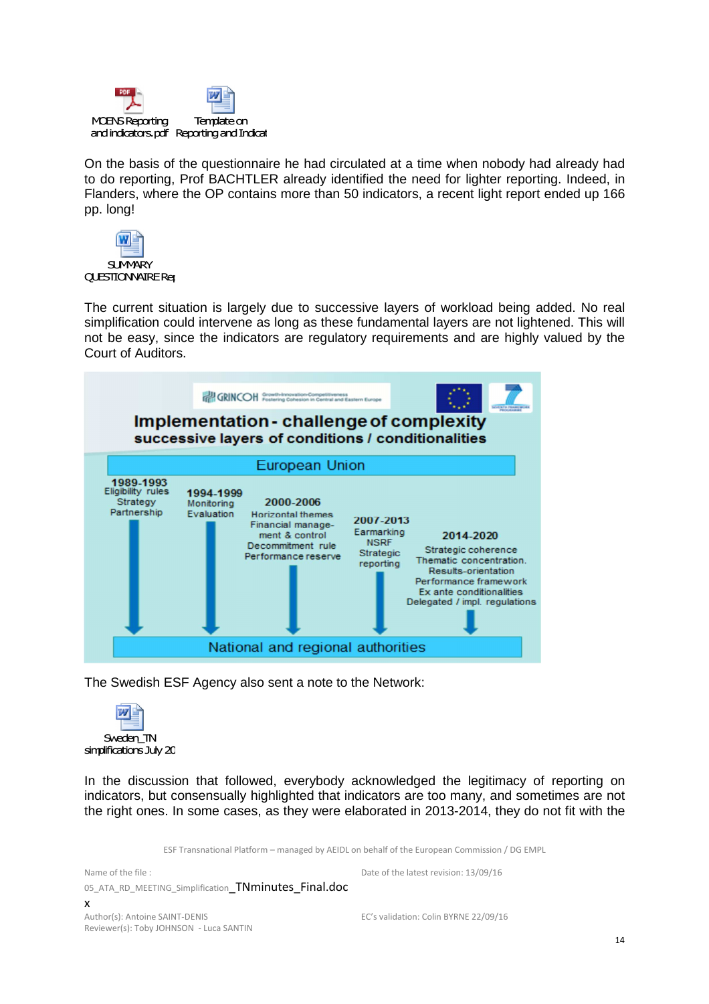

On the basis of the questionnaire he had circulated at a time when nobody had already had to do reporting, Prof BACHTLER already identified the need for lighter reporting. Indeed, in Flanders, where the OP contains more than 50 indicators, a recent light report ended up 166 pp. long!



The current situation is largely due to successive layers of workload being added. No real simplification could intervene as long as these fundamental layers are not lightened. This will not be easy, since the indicators are regulatory requirements and are highly valued by the Court of Auditors.



The Swedish ESF Agency also sent a note to the Network:



In the discussion that followed, everybody acknowledged the legitimacy of reporting on indicators, but consensually highlighted that indicators are too many, and sometimes are not the right ones. In some cases, as they were elaborated in 2013-2014, they do not fit with the

ESF Transnational Platform – managed by AEIDL on behalf of the European Commission / DG EMPL

Name of the file : 05\_ATA\_RD\_MEETING\_Simplification TNminutes\_Final.doc x Date of the latest revision: 13/09/16 Author(s): Antoine SAINT-DENIS Reviewer(s): Toby JOHNSON - Luca SANTIN EC's validation: Colin BYRNE 22/09/16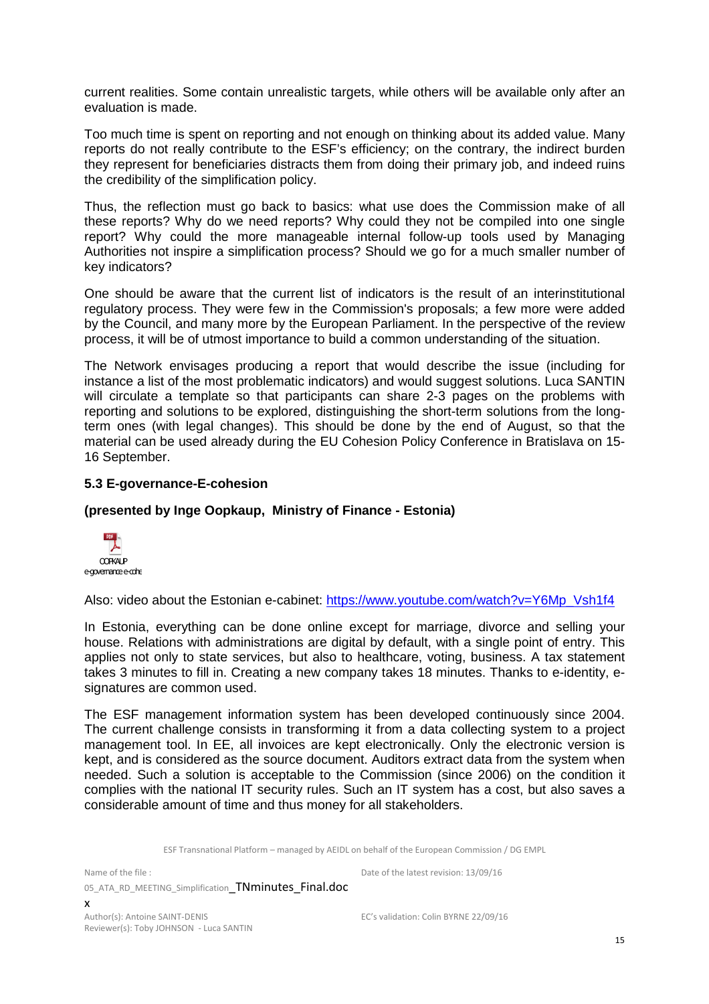current realities. Some contain unrealistic targets, while others will be available only after an evaluation is made.

Too much time is spent on reporting and not enough on thinking about its added value. Many reports do not really contribute to the ESF's efficiency; on the contrary, the indirect burden they represent for beneficiaries distracts them from doing their primary job, and indeed ruins the credibility of the simplification policy.

Thus, the reflection must go back to basics: what use does the Commission make of all these reports? Why do we need reports? Why could they not be compiled into one single report? Why could the more manageable internal follow-up tools used by Managing Authorities not inspire a simplification process? Should we go for a much smaller number of key indicators?

One should be aware that the current list of indicators is the result of an interinstitutional regulatory process. They were few in the Commission's proposals; a few more were added by the Council, and many more by the European Parliament. In the perspective of the review process, it will be of utmost importance to build a common understanding of the situation.

The Network envisages producing a report that would describe the issue (including for instance a list of the most problematic indicators) and would suggest solutions. Luca SANTIN will circulate a template so that participants can share 2-3 pages on the problems with reporting and solutions to be explored, distinguishing the short-term solutions from the longterm ones (with legal changes). This should be done by the end of August, so that the material can be used already during the EU Cohesion Policy Conference in Bratislava on 15- 16 September.

#### **5.3 E-governance-E-cohesion**

#### **(presented by Inge Oopkaup, Ministry of Finance - Estonia)**



Also: video about the Estonian e-cabinet: https://www.youtube.com/watch?v=Y6Mp\_Vsh1f4

In Estonia, everything can be done online except for marriage, divorce and selling your house. Relations with administrations are digital by default, with a single point of entry. This applies not only to state services, but also to healthcare, voting, business. A tax statement takes 3 minutes to fill in. Creating a new company takes 18 minutes. Thanks to e-identity, esignatures are common used.

The ESF management information system has been developed continuously since 2004. The current challenge consists in transforming it from a data collecting system to a project management tool. In EE, all invoices are kept electronically. Only the electronic version is kept, and is considered as the source document. Auditors extract data from the system when needed. Such a solution is acceptable to the Commission (since 2006) on the condition it complies with the national IT security rules. Such an IT system has a cost, but also saves a considerable amount of time and thus money for all stakeholders.

ESF Transnational Platform – managed by AEIDL on behalf of the European Commission / DG EMPL

Name of the file : 05\_ATA\_RD\_MEETING\_Simplification TNminutes\_Final.doc x

Author(s): Antoine SAINT-DENIS Reviewer(s): Toby JOHNSON - Luca SANTIN EC's validation: Colin BYRNE 22/09/16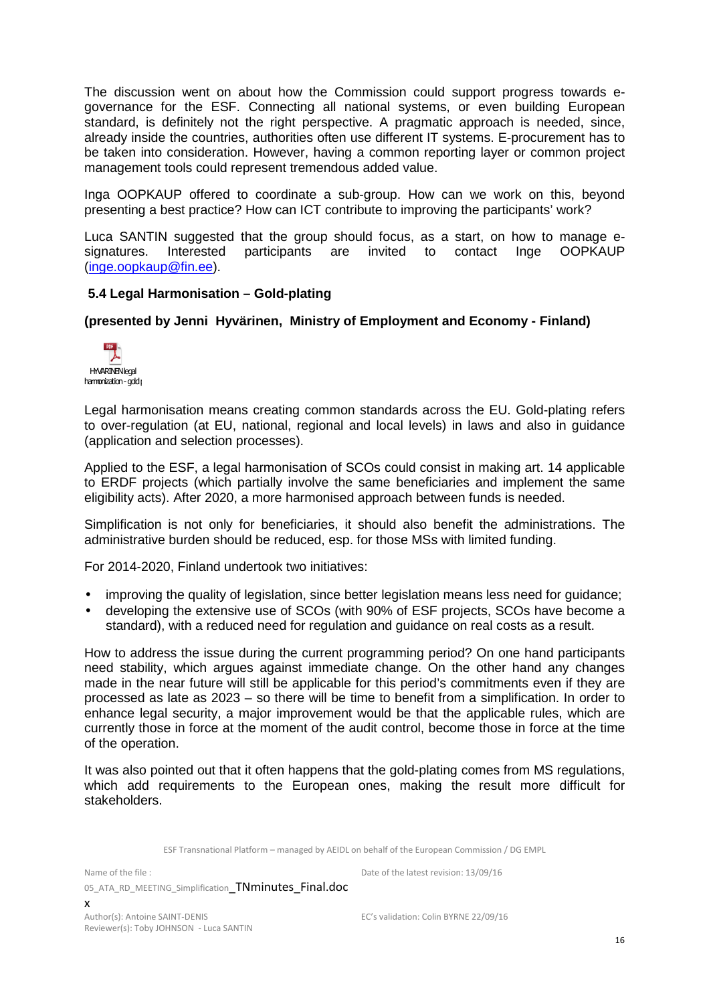The discussion went on about how the Commission could support progress towards egovernance for the ESF. Connecting all national systems, or even building European standard, is definitely not the right perspective. A pragmatic approach is needed, since, already inside the countries, authorities often use different IT systems. E-procurement has to be taken into consideration. However, having a common reporting layer or common project management tools could represent tremendous added value.

Inga OOPKAUP offered to coordinate a sub-group. How can we work on this, beyond presenting a best practice? How can ICT contribute to improving the participants' work?

Luca SANTIN suggested that the group should focus, as a start, on how to manage esignatures. Interested participants are invited to contact Inge OOPKAUP (inge.oopkaup@fin.ee).

#### **5.4 Legal Harmonisation – Gold-plating**

#### **(presented by Jenni Hyvärinen, Ministry of Employment and Economy - Finland)**



Legal harmonisation means creating common standards across the EU. Gold-plating refers to over-regulation (at EU, national, regional and local levels) in laws and also in guidance (application and selection processes).

Applied to the ESF, a legal harmonisation of SCOs could consist in making art. 14 applicable to ERDF projects (which partially involve the same beneficiaries and implement the same eligibility acts). After 2020, a more harmonised approach between funds is needed.

Simplification is not only for beneficiaries, it should also benefit the administrations. The administrative burden should be reduced, esp. for those MSs with limited funding.

For 2014-2020, Finland undertook two initiatives:

- improving the quality of legislation, since better legislation means less need for quidance;
- developing the extensive use of SCOs (with 90% of ESF projects, SCOs have become a standard), with a reduced need for regulation and guidance on real costs as a result.

How to address the issue during the current programming period? On one hand participants need stability, which argues against immediate change. On the other hand any changes made in the near future will still be applicable for this period's commitments even if they are processed as late as 2023 – so there will be time to benefit from a simplification. In order to enhance legal security, a major improvement would be that the applicable rules, which are currently those in force at the moment of the audit control, become those in force at the time of the operation.

It was also pointed out that it often happens that the gold-plating comes from MS regulations, which add requirements to the European ones, making the result more difficult for stakeholders.

ESF Transnational Platform – managed by AEIDL on behalf of the European Commission / DG EMPL

Name of the file :

05\_ATA\_RD\_MEETING\_Simplification TNminutes\_Final.doc x

Author(s): Antoine SAINT-DENIS Reviewer(s): Toby JOHNSON - Luca SANTIN

Date of the latest revision: 13/09/16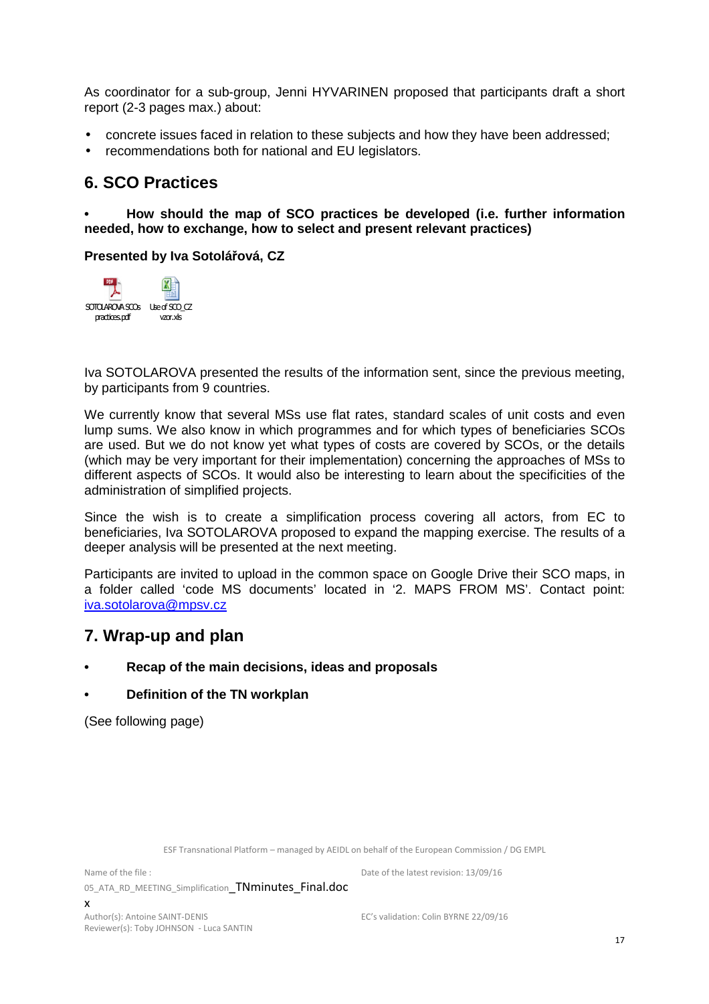As coordinator for a sub-group, Jenni HYVARINEN proposed that participants draft a short report (2-3 pages max.) about:

- concrete issues faced in relation to these subjects and how they have been addressed;
- recommendations both for national and EU legislators.

## **6. SCO Practices**

**• How should the map of SCO practices be developed (i.e. further information needed, how to exchange, how to select and present relevant practices)** 

#### **Presented by Iva Sotolářová, CZ**



Iva SOTOLAROVA presented the results of the information sent, since the previous meeting, by participants from 9 countries.

We currently know that several MSs use flat rates, standard scales of unit costs and even lump sums. We also know in which programmes and for which types of beneficiaries SCOs are used. But we do not know yet what types of costs are covered by SCOs, or the details (which may be very important for their implementation) concerning the approaches of MSs to different aspects of SCOs. It would also be interesting to learn about the specificities of the administration of simplified projects.

Since the wish is to create a simplification process covering all actors, from EC to beneficiaries, Iva SOTOLAROVA proposed to expand the mapping exercise. The results of a deeper analysis will be presented at the next meeting.

Participants are invited to upload in the common space on Google Drive their SCO maps, in a folder called 'code MS documents' located in '2. MAPS FROM MS'. Contact point: iva.sotolarova@mpsv.cz

### **7. Wrap-up and plan**

**• Recap of the main decisions, ideas and proposals**

#### **• Definition of the TN workplan**

(See following page)

ESF Transnational Platform – managed by AEIDL on behalf of the European Commission / DG EMPL

Name of the file : 05 ATA RD MEETING\_Simplification TNminutes Final.doc x

Author(s): Antoine SAINT-DENIS Reviewer(s): Toby JOHNSON - Luca SANTIN EC's validation: Colin BYRNE 22/09/16